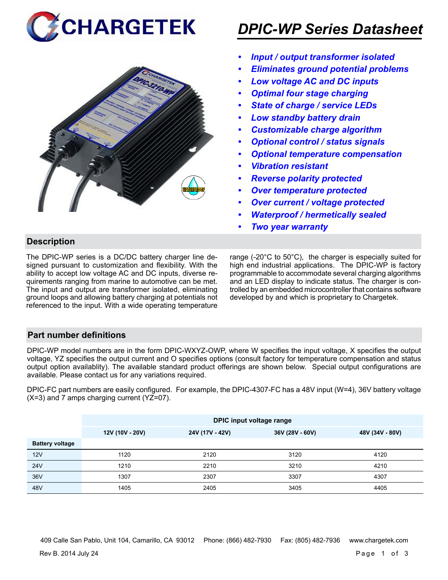



# *DPIC-WP Series Datasheet*

- *• Input / output transformer isolated*
- *• Eliminates ground potential problems*
- *• Low voltage AC and DC inputs*
- *• Optimal four stage charging*
- *• State of charge / service LEDs*
- *• Low standby battery drain*
- *• Customizable charge algorithm*
- *• Optional control / status signals*
- *• Optional temperature compensation*
- *• Vibration resistant*
- *• Reverse polarity protected*
- *• Over temperature protected*
- *• Over current / voltage protected*
- *• Waterproof / hermetically sealed*
- *• Two year warranty*

# **Description**

The DPIC-WP series is a DC/DC battery charger line designed pursuant to customization and flexibility. With the ability to accept low voltage AC and DC inputs, diverse requirements ranging from marine to automotive can be met. The input and output are transformer isolated, eliminating ground loops and allowing battery charging at potentials not referenced to the input. With a wide operating temperature

range (-20°C to 50°C), the charger is especially suited for high end industrial applications. The DPIC-WP is factory programmable to accommodate several charging algorithms and an LED display to indicate status. The charger is controlled by an embedded microcontroller that contains software developed by and which is proprietary to Chargetek.

### **Part number definitions**

DPIC-WP model numbers are in the form DPIC-WXYZ-OWP, where W specifies the input voltage, X specifies the output voltage, YZ specifies the output current and O specifies options (consult factory for temperature compensation and status output option availablity). The available standard product offerings are shown below. Special output configurations are available. Please contact us for any variations required.

DPIC-FC part numbers are easily configured. For example, the DPIC-4307-FC has a 48V input (W=4), 36V battery voltage (X=3) and 7 amps charging current (YZ=07).

|                        | DPIC input voltage range |                 |                 |                 |  |  |
|------------------------|--------------------------|-----------------|-----------------|-----------------|--|--|
|                        | 12V (10V - 20V)          | 24V (17V - 42V) | 36V (28V - 60V) | 48V (34V - 80V) |  |  |
| <b>Battery voltage</b> |                          |                 |                 |                 |  |  |
| 12V                    | 1120                     | 2120            | 3120            | 4120            |  |  |
| <b>24V</b>             | 1210                     | 2210            | 3210            | 4210            |  |  |
| 36V                    | 1307                     | 2307            | 3307            | 4307            |  |  |
| 48V                    | 1405                     | 2405            | 3405            | 4405            |  |  |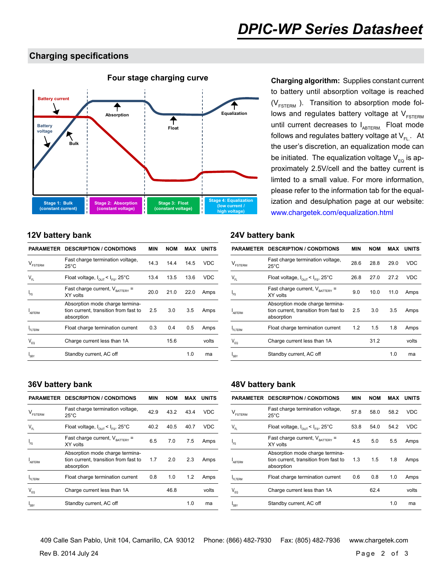### **Charging specifications**



to battery until absorption voltage is reached  $(V_{FSTERN}$ ). Transition to absorption mode follows and regulates battery voltage at  $V_{FSTERM}$ until current decreases to  $I_{ABTERM}$ . Float mode follows and regulates battery voltage at  $V_{F1}$ . At the user's discretion, an equalization mode can be initiated. The equalization voltage  $V_{FQ}$  is approximately 2.5V/cell and the battey current is limted to a small value. For more information, please refer to the information tab for the equalization and desulphation page at our website: www.chargetek.com/equalization.html

| PARAMETER                                      | <b>DESCRIPTION / CONDITIONS</b>                                                        | <b>MIN</b> | <b>NOM</b> | MAX  | <b>UNITS</b> |
|------------------------------------------------|----------------------------------------------------------------------------------------|------------|------------|------|--------------|
| <b>ESTERM</b>                                  | Fast charge termination voltage,<br>$25^{\circ}$ C                                     | 14.3       | 14.4       | 14.5 | VDC          |
| $\mathsf{V}_{\scriptscriptstyle{\mathsf{FL}}}$ | Float voltage, $I_{\text{out}} < I_{\text{es}}$ , 25°C                                 | 13.4       | 13.5       | 13.6 | VDC          |
| $\mathsf{I}_{\scriptscriptstyle\mathrm{FS}}$   | Fast charge current, $V_{\text{raffer}}$ =<br>XY volts                                 | 20.0       | 21.0       | 22.0 | Amps         |
| ABTERM                                         | Absorption mode charge termina-<br>tion current, transition from fast to<br>absorption | 2.5        | 3.0        | 3.5  | Amps         |
| FLTERM                                         | Float charge termination current                                                       | 0.3        | 0.4        | 0.5  | Amps         |
| $V_{EQ}$                                       | Charge current less than 1A                                                            |            | 15.6       |      | volts        |
| I <sub>SBY</sub>                               | Standby current, AC off                                                                |            |            | 1.0  | ma           |
|                                                |                                                                                        |            |            |      |              |

### **12V battery bank 24V battery bank**

|                            | <b>PARAMETER DESCRIPTION / CONDITIONS</b>                                              | MIN  | <b>NOM</b> | MAX  | <b>UNITS</b> |
|----------------------------|----------------------------------------------------------------------------------------|------|------------|------|--------------|
| <b>ESTERM</b>              | Fast charge termination voltage,<br>$25^{\circ}$ C                                     | 28.6 | 28.8       | 29.0 | <b>VDC</b>   |
| $\mathsf{V}_{\mathsf{FL}}$ | Float voltage, $I_{\text{out}} < I_{\text{es}}$ , 25°C                                 | 26.8 | 27.0       | 27.2 | VDC          |
| l <sub>FS</sub>            | Fast charge current, $V_{\text{raffers}}$ =<br>XY volts                                | 9.0  | 10.0       | 11.0 | Amps         |
| ARTERM                     | Absorption mode charge termina-<br>tion current, transition from fast to<br>absorption | 2.5  | 3.0        | 3.5  | Amps         |
| FI TFRM                    | Float charge termination current                                                       | 1.2  | 1.5        | 1.8  | Amps         |
| $\mathsf{V}_{\mathsf{EQ}}$ | Charge current less than 1A                                                            |      | 31.2       |      | volts        |
| I <sub>SBY</sub>           | Standby current, AC off                                                                |      |            | 1.0  | ma           |
|                            |                                                                                        |      |            |      |              |

|                                | <b>PARAMETER DESCRIPTION / CONDITIONS</b>                                              | MIN  | <b>NOM</b> | MAX  | <b>UNITS</b> |
|--------------------------------|----------------------------------------------------------------------------------------|------|------------|------|--------------|
| $\mathsf{V}_{\texttt{FSTERN}}$ | Fast charge termination voltage,<br>$25^{\circ}$ C                                     | 42.9 | 43.2       | 43.4 | <b>VDC</b>   |
| $V_{\text{FI}}$                | Float voltage, $I_{\text{out}} < I_{\text{es}}$ , 25°C                                 | 40.2 | 40.5       | 40.7 | <b>VDC</b>   |
| 'FS                            | Fast charge current, $V_{\text{BATTRY}}$ =<br>XY volts                                 | 6.5  | 7.0        | 7.5  | Amps         |
| ARTFRM                         | Absorption mode charge termina-<br>tion current, transition from fast to<br>absorption | 1.7  | 2.0        | 2.3  | Amps         |
| FITERM                         | Float charge termination current                                                       | 0.8  | 1.0        | 1.2  | Amps         |
| $V_{FQ}$                       | Charge current less than 1A                                                            |      | 46.8       |      | volts        |
| <sup>I</sup> SBY               | Standby current, AC off                                                                |      |            | 1.0  | ma           |

### **36V battery bank 48V battery bank**

|                                | <b>PARAMETER DESCRIPTION / CONDITIONS</b>                                              | MIN  | <b>NOM</b> | MAX  | <b>UNITS</b> |
|--------------------------------|----------------------------------------------------------------------------------------|------|------------|------|--------------|
| $\mathsf{V}_{\texttt{FSTERM}}$ | Fast charge termination voltage,<br>$25^{\circ}$ C                                     | 57.8 | 58.0       | 58.2 | VDC          |
| $\mathsf{V}_{\mathsf{FL}}$     | Float voltage, $I_{\text{out}} < I_{\text{es}}$ , 25°C                                 | 53.8 | 54.0       | 54.2 | VDC          |
| $I_{FS}$                       | Fast charge current, $V_{\text{partrev}}$ =<br>XY volts                                | 4.5  | 5.0        | 5.5  | Amps         |
| ARTFRM                         | Absorption mode charge termina-<br>tion current, transition from fast to<br>absorption | 1.3  | 1.5        | 1.8  | Amps         |
| FI TFRM                        | Float charge termination current                                                       | 0.6  | 0.8        | 1.0  | Amps         |
| $V_{FQ}$                       | Charge current less than 1A                                                            |      | 62.4       |      | volts        |
| 's BY                          | Standby current, AC off                                                                |      |            | 1.0  | ma           |

Rev B. 2014 July 24 **Page 2 of 3** 409 Calle San Pablo, Unit 104, Camarillo, CA 93012 Phone: (866) 482-7930 Fax: (805) 482-7936 www.chargetek.com